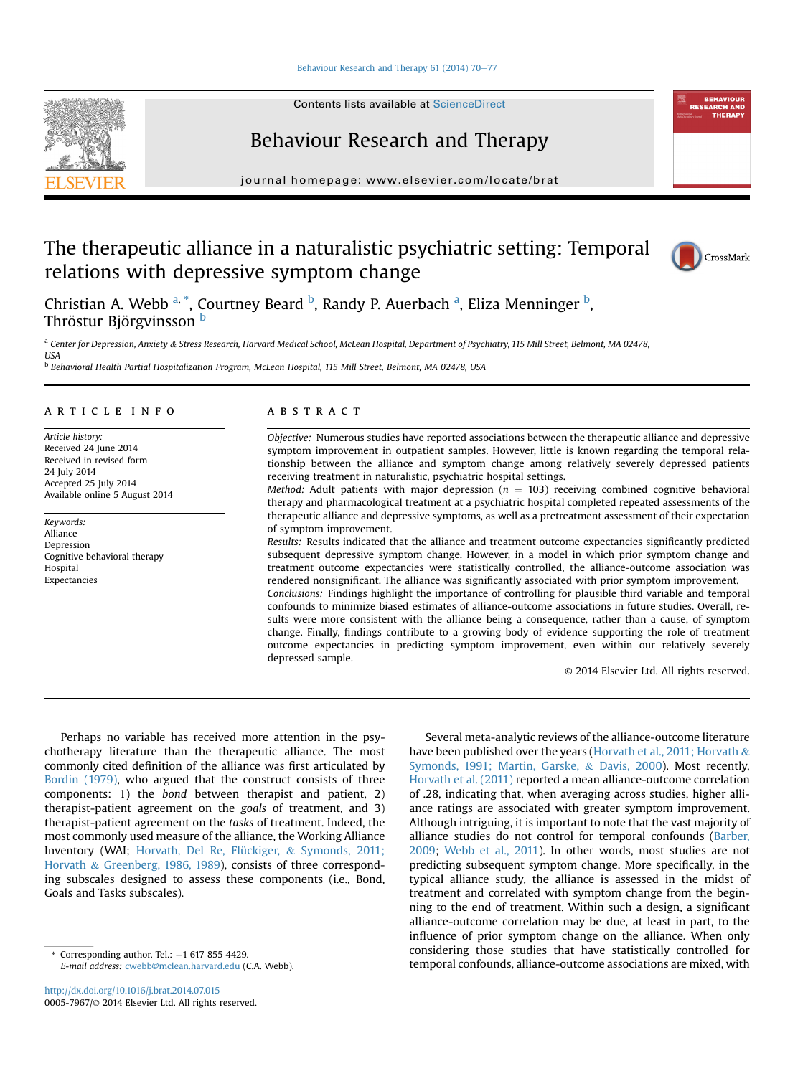## [Behaviour Research and Therapy 61 \(2014\) 70](http://dx.doi.org/10.1016/j.brat.2014.07.015)-[77](http://dx.doi.org/10.1016/j.brat.2014.07.015)

Contents lists available at ScienceDirect



journal homepage: [www.elsevier.com/locate/brat](http://www.elsevier.com/locate/brat)

# The therapeutic alliance in a naturalistic psychiatric setting: Temporal relations with depressive symptom change



Christian A. Webb <sup>a, \*</sup>, Courtney Beard <sup>b</sup>, Randy P. Auerbach <sup>a</sup>, Eliza Menninger <sup>b</sup>, Thröstur Björgvinsson<sup>b</sup>

a Center for Depression, Anxiety & Stress Research, Harvard Medical School, McLean Hospital, Department of Psychiatry, 115 Mill Street, Belmont, MA 02478, USA

<sup>b</sup> Behavioral Health Partial Hospitalization Program, McLean Hospital, 115 Mill Street, Belmont, MA 02478, USA

# article info

Article history: Received 24 June 2014 Received in revised form 24 July 2014 Accepted 25 July 2014 Available online 5 August 2014

Keywords: Alliance Depression Cognitive behavioral therapy Hospital Expectancies

# ABSTRACT

Objective: Numerous studies have reported associations between the therapeutic alliance and depressive symptom improvement in outpatient samples. However, little is known regarding the temporal relationship between the alliance and symptom change among relatively severely depressed patients receiving treatment in naturalistic, psychiatric hospital settings.

Method: Adult patients with major depression ( $n = 103$ ) receiving combined cognitive behavioral therapy and pharmacological treatment at a psychiatric hospital completed repeated assessments of the therapeutic alliance and depressive symptoms, as well as a pretreatment assessment of their expectation of symptom improvement.

Results: Results indicated that the alliance and treatment outcome expectancies significantly predicted subsequent depressive symptom change. However, in a model in which prior symptom change and treatment outcome expectancies were statistically controlled, the alliance-outcome association was rendered nonsignificant. The alliance was significantly associated with prior symptom improvement. Conclusions: Findings highlight the importance of controlling for plausible third variable and temporal confounds to minimize biased estimates of alliance-outcome associations in future studies. Overall, results were more consistent with the alliance being a consequence, rather than a cause, of symptom change. Finally, findings contribute to a growing body of evidence supporting the role of treatment outcome expectancies in predicting symptom improvement, even within our relatively severely depressed sample.

© 2014 Elsevier Ltd. All rights reserved.

Perhaps no variable has received more attention in the psychotherapy literature than the therapeutic alliance. The most commonly cited definition of the alliance was first articulated by Bordin (1979), who argued that the construct consists of three components: 1) the bond between therapist and patient, 2) therapist-patient agreement on the goals of treatment, and 3) therapist-patient agreement on the tasks of treatment. Indeed, the most commonly used measure of the alliance, the Working Alliance Inventory (WAI; Horvath, Del Re, Flückiger, & Symonds, 2011; Horvath & Greenberg, 1986, 1989), consists of three corresponding subscales designed to assess these components (i.e., Bond, Goals and Tasks subscales).

E-mail address: [cwebb@mclean.harvard.edu](mailto:cwebb@mclean.harvard.edu) (C.A. Webb).

Several meta-analytic reviews of the alliance-outcome literature have been published over the years (Horvath et al., 2011; Horvath  $\&$ Symonds, 1991; Martin, Garske, & Davis, 2000). Most recently, Horvath et al. (2011) reported a mean alliance-outcome correlation of .28, indicating that, when averaging across studies, higher alliance ratings are associated with greater symptom improvement. Although intriguing, it is important to note that the vast majority of alliance studies do not control for temporal confounds (Barber, 2009; Webb et al., 2011). In other words, most studies are not predicting subsequent symptom change. More specifically, in the typical alliance study, the alliance is assessed in the midst of treatment and correlated with symptom change from the beginning to the end of treatment. Within such a design, a significant alliance-outcome correlation may be due, at least in part, to the influence of prior symptom change on the alliance. When only considering those studies that have statistically controlled for temporal considering unose studies that have statistically controlled for<br>E-mail address: cwebb@mclean.harvard.edu (C.A. Webb). temporal confounds, alliance-outcome associations are mixed, with

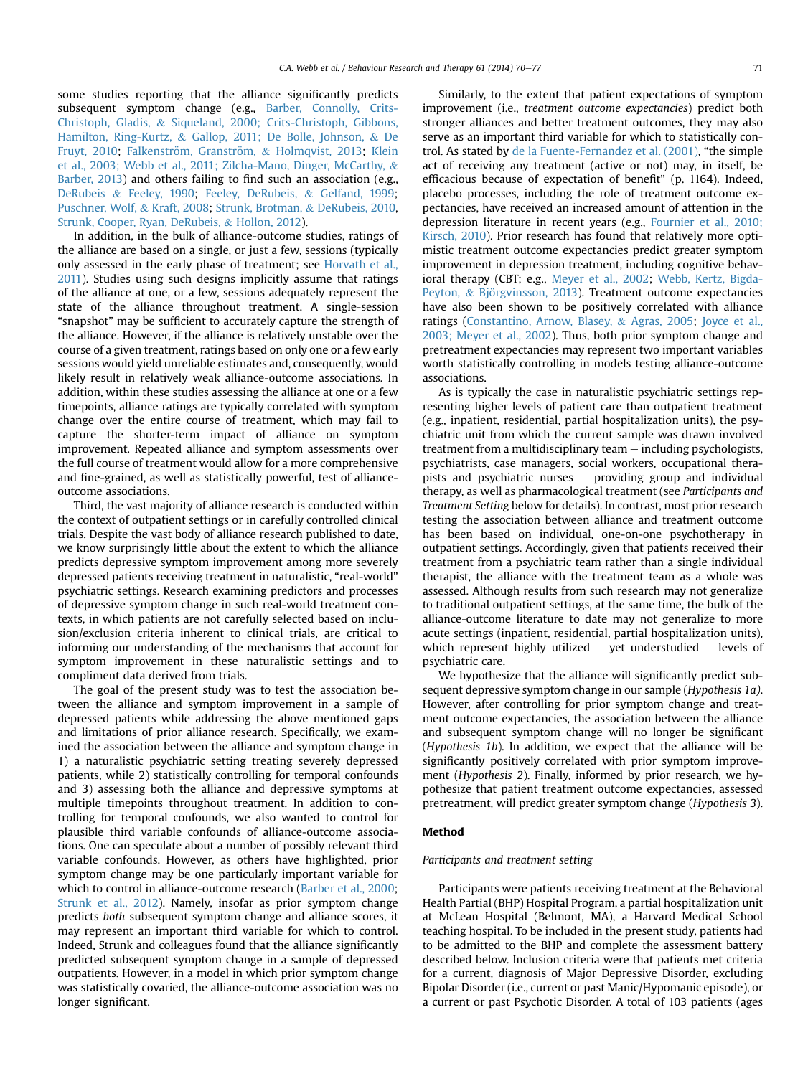some studies reporting that the alliance significantly predicts subsequent symptom change (e.g., Barber, Connolly, Crits-Christoph, Gladis, & Siqueland, 2000; Crits-Christoph, Gibbons, Hamilton, Ring-Kurtz, & Gallop, 2011; De Bolle, Johnson, & De Fruyt, 2010; Falkenström, Granström, & Holmqvist, 2013; Klein et al., 2003; Webb et al., 2011; Zilcha-Mano, Dinger, McCarthy, & Barber, 2013) and others failing to find such an association (e.g., DeRubeis & Feeley, 1990; Feeley, DeRubeis, & Gelfand, 1999; Puschner, Wolf, & Kraft, 2008; Strunk, Brotman, & DeRubeis, 2010, Strunk, Cooper, Ryan, DeRubeis, & Hollon, 2012).

In addition, in the bulk of alliance-outcome studies, ratings of the alliance are based on a single, or just a few, sessions (typically only assessed in the early phase of treatment; see Horvath et al., 2011). Studies using such designs implicitly assume that ratings of the alliance at one, or a few, sessions adequately represent the state of the alliance throughout treatment. A single-session "snapshot" may be sufficient to accurately capture the strength of the alliance. However, if the alliance is relatively unstable over the course of a given treatment, ratings based on only one or a few early sessions would yield unreliable estimates and, consequently, would likely result in relatively weak alliance-outcome associations. In addition, within these studies assessing the alliance at one or a few timepoints, alliance ratings are typically correlated with symptom change over the entire course of treatment, which may fail to capture the shorter-term impact of alliance on symptom improvement. Repeated alliance and symptom assessments over the full course of treatment would allow for a more comprehensive and fine-grained, as well as statistically powerful, test of allianceoutcome associations.

Third, the vast majority of alliance research is conducted within the context of outpatient settings or in carefully controlled clinical trials. Despite the vast body of alliance research published to date, we know surprisingly little about the extent to which the alliance predicts depressive symptom improvement among more severely depressed patients receiving treatment in naturalistic, "real-world" psychiatric settings. Research examining predictors and processes of depressive symptom change in such real-world treatment contexts, in which patients are not carefully selected based on inclusion/exclusion criteria inherent to clinical trials, are critical to informing our understanding of the mechanisms that account for symptom improvement in these naturalistic settings and to compliment data derived from trials.

The goal of the present study was to test the association between the alliance and symptom improvement in a sample of depressed patients while addressing the above mentioned gaps and limitations of prior alliance research. Specifically, we examined the association between the alliance and symptom change in 1) a naturalistic psychiatric setting treating severely depressed patients, while 2) statistically controlling for temporal confounds and 3) assessing both the alliance and depressive symptoms at multiple timepoints throughout treatment. In addition to controlling for temporal confounds, we also wanted to control for plausible third variable confounds of alliance-outcome associations. One can speculate about a number of possibly relevant third variable confounds. However, as others have highlighted, prior symptom change may be one particularly important variable for which to control in alliance-outcome research (Barber et al., 2000; Strunk et al., 2012). Namely, insofar as prior symptom change predicts both subsequent symptom change and alliance scores, it may represent an important third variable for which to control. Indeed, Strunk and colleagues found that the alliance significantly predicted subsequent symptom change in a sample of depressed outpatients. However, in a model in which prior symptom change was statistically covaried, the alliance-outcome association was no longer significant.

Similarly, to the extent that patient expectations of symptom improvement (i.e., treatment outcome expectancies) predict both stronger alliances and better treatment outcomes, they may also serve as an important third variable for which to statistically control. As stated by de la Fuente-Fernandez et al. (2001), "the simple act of receiving any treatment (active or not) may, in itself, be efficacious because of expectation of benefit" (p. 1164). Indeed, placebo processes, including the role of treatment outcome expectancies, have received an increased amount of attention in the depression literature in recent years (e.g., Fournier et al., 2010; Kirsch, 2010). Prior research has found that relatively more optimistic treatment outcome expectancies predict greater symptom improvement in depression treatment, including cognitive behavioral therapy (CBT; e.g., Meyer et al., 2002; Webb, Kertz, Bigda-Peyton, & Björgvinsson, 2013). Treatment outcome expectancies have also been shown to be positively correlated with alliance ratings (Constantino, Arnow, Blasey, & Agras, 2005; Joyce et al., 2003; Meyer et al., 2002). Thus, both prior symptom change and pretreatment expectancies may represent two important variables worth statistically controlling in models testing alliance-outcome associations.

As is typically the case in naturalistic psychiatric settings representing higher levels of patient care than outpatient treatment (e.g., inpatient, residential, partial hospitalization units), the psychiatric unit from which the current sample was drawn involved treatment from a multidisciplinary team  $-$  including psychologists, psychiatrists, case managers, social workers, occupational therapists and psychiatric nurses  $-$  providing group and individual therapy, as well as pharmacological treatment (see Participants and Treatment Setting below for details). In contrast, most prior research testing the association between alliance and treatment outcome has been based on individual, one-on-one psychotherapy in outpatient settings. Accordingly, given that patients received their treatment from a psychiatric team rather than a single individual therapist, the alliance with the treatment team as a whole was assessed. Although results from such research may not generalize to traditional outpatient settings, at the same time, the bulk of the alliance-outcome literature to date may not generalize to more acute settings (inpatient, residential, partial hospitalization units), which represent highly utilized  $-$  yet understudied  $-$  levels of psychiatric care.

We hypothesize that the alliance will significantly predict subsequent depressive symptom change in our sample (Hypothesis 1a). However, after controlling for prior symptom change and treatment outcome expectancies, the association between the alliance and subsequent symptom change will no longer be significant (Hypothesis 1b). In addition, we expect that the alliance will be significantly positively correlated with prior symptom improvement (Hypothesis 2). Finally, informed by prior research, we hypothesize that patient treatment outcome expectancies, assessed pretreatment, will predict greater symptom change (Hypothesis 3).

## Method

#### Participants and treatment setting

Participants were patients receiving treatment at the Behavioral Health Partial (BHP) Hospital Program, a partial hospitalization unit at McLean Hospital (Belmont, MA), a Harvard Medical School teaching hospital. To be included in the present study, patients had to be admitted to the BHP and complete the assessment battery described below. Inclusion criteria were that patients met criteria for a current, diagnosis of Major Depressive Disorder, excluding Bipolar Disorder (i.e., current or past Manic/Hypomanic episode), or a current or past Psychotic Disorder. A total of 103 patients (ages